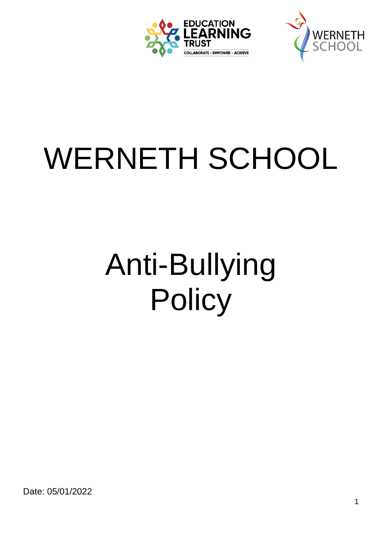



# WERNETH SCHOOL

# Anti-Bullying **Policy**

Date: 05/01/2022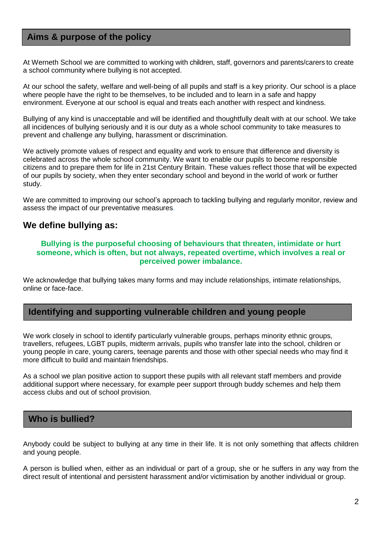#### **Aims & purpose of the policy**

At Werneth School we are committed to working with children, staff, governors and parents/carers to create a school community where bullying is not accepted.

At our school the safety, welfare and well-being of all pupils and staff is a key priority. Our school is a place where people have the right to be themselves, to be included and to learn in a safe and happy environment. Everyone at our school is equal and treats each another with respect and kindness.

Bullying of any kind is unacceptable and will be identified and thoughtfully dealt with at our school. We take all incidences of bullying seriously and it is our duty as a whole school community to take measures to prevent and challenge any bullying, harassment or discrimination.

We actively promote values of respect and equality and work to ensure that difference and diversity is celebrated across the whole school community. We want to enable our pupils to become responsible citizens and to prepare them for life in 21st Century Britain. These values reflect those that will be expected of our pupils by society, when they enter secondary school and beyond in the world of work or further study.

We are committed to improving our school's approach to tackling bullying and regularly monitor, review and assess the impact of our preventative measures.

#### **We define bullying as:**

#### **Bullying is the purposeful choosing of behaviours that threaten, intimidate or hurt someone, which is often, but not always, repeated overtime, which involves a real or perceived power imbalance.**

We acknowledge that bullying takes many forms and may include relationships, intimate relationships, online or face-face.

#### **Identifying and supporting vulnerable children and young people**

We work closely in school to identify particularly vulnerable groups, perhaps minority ethnic groups, travellers, refugees, LGBT pupils, midterm arrivals, pupils who transfer late into the school, children or young people in care, young carers, teenage parents and those with other special needs who may find it more difficult to build and maintain friendships.

As a school we plan positive action to support these pupils with all relevant staff members and provide additional support where necessary, for example peer support through buddy schemes and help them access clubs and out of school provision.

#### **Who is bullied?**

Anybody could be subject to bullying at any time in their life. It is not only something that affects children and young people.

A person is bullied when, either as an individual or part of a group, she or he suffers in any way from the direct result of intentional and persistent harassment and/or victimisation by another individual or group.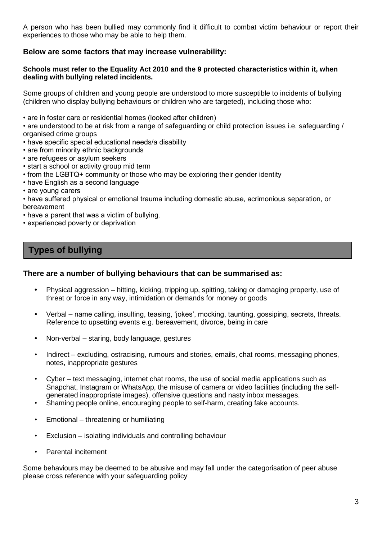A person who has been bullied may commonly find it difficult to combat victim behaviour or report their experiences to those who may be able to help them.

#### **Below are some factors that may increase vulnerability:**

#### **Schools must refer to the Equality Act 2010 and the 9 protected characteristics within it, when dealing with bullying related incidents.**

Some groups of children and young people are understood to more susceptible to incidents of bullying (children who display bullying behaviours or children who are targeted), including those who:

• are in foster care or residential homes (looked after children)

• are understood to be at risk from a range of safeguarding or child protection issues i.e. safeguarding / organised crime groups

- have specific special educational needs/a disability
- are from minority ethnic backgrounds
- are refugees or asylum seekers
- start a school or activity group mid term
- from the LGBTQ+ community or those who may be exploring their gender identity
- have English as a second language
- are young carers

• have suffered physical or emotional trauma including domestic abuse, acrimonious separation, or bereavement

- have a parent that was a victim of bullying.
- experienced poverty or deprivation

#### **Types of bullying**

#### **There are a number of bullying behaviours that can be summarised as:**

- **•** Physical aggression hitting, kicking, tripping up, spitting, taking or damaging property, use of threat or force in any way, intimidation or demands for money or goods
- **•** Verbal name calling, insulting, teasing, 'jokes', mocking, taunting, gossiping, secrets, threats. Reference to upsetting events e.g. bereavement, divorce, being in care
- **•** Non-verbal staring, body language, gestures
- Indirect excluding, ostracising, rumours and stories, emails, chat rooms, messaging phones, notes, inappropriate gestures
- Cyber text messaging, internet chat rooms, the use of social media applications such as Snapchat, Instagram or WhatsApp, the misuse of camera or video facilities (including the selfgenerated inappropriate images), offensive questions and nasty inbox messages.
- Shaming people online, encouraging people to self-harm, creating fake accounts.
- Emotional threatening or humiliating
- Exclusion isolating individuals and controlling behaviour
- Parental incitement

Some behaviours may be deemed to be abusive and may fall under the categorisation of peer abuse please cross reference with your safeguarding policy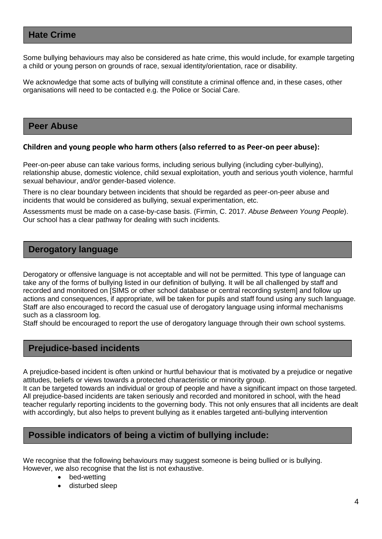#### **Hate Crime**

Some bullying behaviours may also be considered as hate crime, this would include, for example targeting a child or young person on grounds of race, sexual identity/orientation, race or disability.

We acknowledge that some acts of bullying will constitute a criminal offence and, in these cases, other organisations will need to be contacted e.g. the Police or Social Care.

#### **Peer Abuse**

#### **Children and young people who harm others (also referred to as Peer-on peer abuse):**

Peer-on-peer abuse can take various forms, including serious bullying (including cyber-bullying), relationship abuse, domestic violence, child sexual exploitation, youth and serious youth violence, harmful sexual behaviour, and/or gender-based violence.

There is no clear boundary between incidents that should be regarded as peer-on-peer abuse and incidents that would be considered as bullying, sexual experimentation, etc.

Assessments must be made on a case-by-case basis. (Firmin, C. 2017. *Abuse Between Young People*). Our school has a clear pathway for dealing with such incidents*.*

#### **Derogatory language**

Derogatory or offensive language is not acceptable and will not be permitted. This type of language can take any of the forms of bullying listed in our definition of bullying. It will be all challenged by staff and recorded and monitored on [SIMS or other school database or central recording system] and follow up actions and consequences, if appropriate, will be taken for pupils and staff found using any such language. Staff are also encouraged to record the casual use of derogatory language using informal mechanisms such as a classroom log.

Staff should be encouraged to report the use of derogatory language through their own school systems.

#### **Prejudice-based incidents**

A prejudice-based incident is often unkind or hurtful behaviour that is motivated by a prejudice or negative attitudes, beliefs or views towards a protected characteristic or minority group.

It can be targeted towards an individual or group of people and have a significant impact on those targeted. All prejudice-based incidents are taken seriously and recorded and monitored in school, with the head teacher regularly reporting incidents to the governing body. This not only ensures that all incidents are dealt with accordingly, but also helps to prevent bullying as it enables targeted anti-bullying intervention

#### **Possible indicators of being a victim of bullying include:**

We recognise that the following behaviours may suggest someone is being bullied or is bullying. However, we also recognise that the list is not exhaustive.

- bed-wetting
- disturbed sleep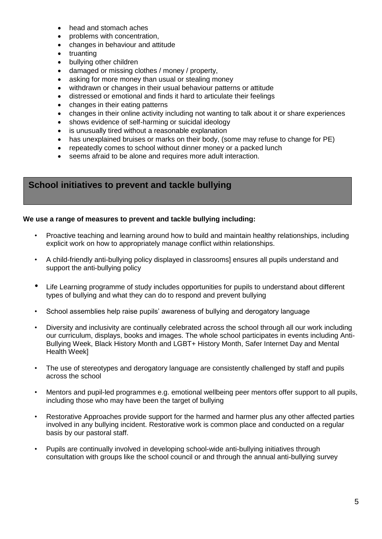- head and stomach aches
- problems with concentration,
- changes in behaviour and attitude
- truanting
- bullying other children
- damaged or missing clothes / money / property,
- asking for more money than usual or stealing money
- withdrawn or changes in their usual behaviour patterns or attitude
- distressed or emotional and finds it hard to articulate their feelings
- changes in their eating patterns
- changes in their online activity including not wanting to talk about it or share experiences
- shows evidence of self-harming or suicidal ideology
- is unusually tired without a reasonable explanation
- has unexplained bruises or marks on their body, (some may refuse to change for PE)
- repeatedly comes to school without dinner money or a packed lunch
- seems afraid to be alone and requires more adult interaction.

#### **School initiatives to prevent and tackle bullying**

#### **We use a range of measures to prevent and tackle bullying including:**

- Proactive teaching and learning around how to build and maintain healthy relationships, including explicit work on how to appropriately manage conflict within relationships.
- A child-friendly anti-bullying policy displayed in classrooms] ensures all pupils understand and support the anti-bullying policy
- Life Learning programme of study includes opportunities for pupils to understand about different types of bullying and what they can do to respond and prevent bullying
- School assemblies help raise pupils' awareness of bullying and derogatory language
- Diversity and inclusivity are continually celebrated across the school through all our work including our curriculum, displays, books and images. The whole school participates in events including Anti-Bullying Week, Black History Month and LGBT+ History Month, Safer Internet Day and Mental Health Week]
- The use of stereotypes and derogatory language are consistently challenged by staff and pupils across the school
- Mentors and pupil-led programmes e.g. emotional wellbeing peer mentors offer support to all pupils, including those who may have been the target of bullying
- Restorative Approaches provide support for the harmed and harmer plus any other affected parties involved in any bullying incident. Restorative work is common place and conducted on a regular basis by our pastoral staff.
- Pupils are continually involved in developing school-wide anti-bullying initiatives through consultation with groups like the school council or and through the annual anti-bullying survey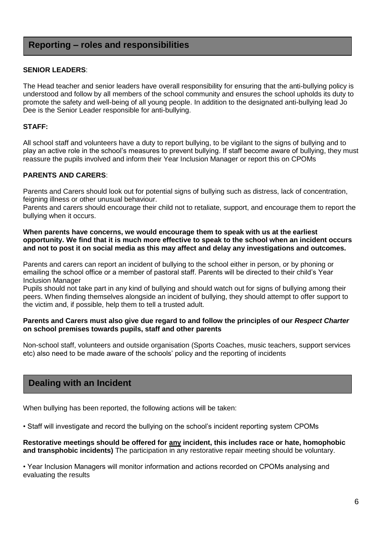#### **Reporting – roles and responsibilities**

#### **SENIOR LEADERS**:

The Head teacher and senior leaders have overall responsibility for ensuring that the anti-bullying policy is understood and follow by all members of the school community and ensures the school upholds its duty to promote the safety and well-being of all young people. In addition to the designated anti-bullying lead Jo Dee is the Senior Leader responsible for anti-bullying.

#### **STAFF:**

All school staff and volunteers have a duty to report bullying, to be vigilant to the signs of bullying and to play an active role in the school's measures to prevent bullying. If staff become aware of bullying, they must reassure the pupils involved and inform their Year Inclusion Manager or report this on CPOMs

#### **PARENTS AND CARERS**:

Parents and Carers should look out for potential signs of bullying such as distress, lack of concentration, feigning illness or other unusual behaviour.

Parents and carers should encourage their child not to retaliate, support, and encourage them to report the bullying when it occurs.

#### **When parents have concerns, we would encourage them to speak with us at the earliest opportunity. We find that it is much more effective to speak to the school when an incident occurs and not to post it on social media as this may affect and delay any investigations and outcomes.**

Parents and carers can report an incident of bullying to the school either in person, or by phoning or emailing the school office or a member of pastoral staff. Parents will be directed to their child's Year Inclusion Manager

Pupils should not take part in any kind of bullying and should watch out for signs of bullying among their peers. When finding themselves alongside an incident of bullying, they should attempt to offer support to the victim and, if possible, help them to tell a trusted adult.

#### **Parents and Carers must also give due regard to and follow the principles of our** *Respect Charter* **on school premises towards pupils, staff and other parents**

Non-school staff, volunteers and outside organisation (Sports Coaches, music teachers, support services etc) also need to be made aware of the schools' policy and the reporting of incidents

#### **Dealing with an Incident**

When bullying has been reported, the following actions will be taken:

• Staff will investigate and record the bullying on the school's incident reporting system CPOMs

**Restorative meetings should be offered for any incident, this includes race or hate, homophobic and transphobic incidents)** The participation in any restorative repair meeting should be voluntary.

• Year Inclusion Managers will monitor information and actions recorded on CPOMs analysing and evaluating the results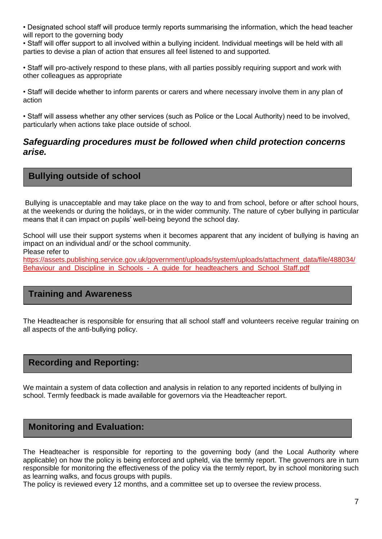• Designated school staff will produce termly reports summarising the information, which the head teacher will report to the governing body

• Staff will offer support to all involved within a bullying incident. Individual meetings will be held with all parties to devise a plan of action that ensures all feel listened to and supported.

• Staff will pro-actively respond to these plans, with all parties possibly requiring support and work with other colleagues as appropriate

• Staff will decide whether to inform parents or carers and where necessary involve them in any plan of action

• Staff will assess whether any other services (such as Police or the Local Authority) need to be involved, particularly when actions take place outside of school.

#### *Safeguarding procedures must be followed when child protection concerns arise.*

#### **Bullying outside of school**

Bullying is unacceptable and may take place on the way to and from school, before or after school hours, at the weekends or during the holidays, or in the wider community. The nature of cyber bullying in particular means that it can impact on pupils' well-being beyond the school day.

School will use their support systems when it becomes apparent that any incident of bullying is having an impact on an individual and/ or the school community.

Please refer to

[https://assets.publishing.service.gov.uk/government/uploads/system/uploads/attachment\\_data/file/488034/](https://assets.publishing.service.gov.uk/government/uploads/system/uploads/attachment_data/file/488034/Behaviour_and_Discipline_in_Schools_-_A_guide_for_headteachers_and_School_Staff.pdf) [Behaviour\\_and\\_Discipline\\_in\\_Schools\\_-\\_A\\_guide\\_for\\_headteachers\\_and\\_School\\_Staff.pdf](https://assets.publishing.service.gov.uk/government/uploads/system/uploads/attachment_data/file/488034/Behaviour_and_Discipline_in_Schools_-_A_guide_for_headteachers_and_School_Staff.pdf)

#### **Training and Awareness**

The Headteacher is responsible for ensuring that all school staff and volunteers receive regular training on all aspects of the anti-bullying policy.

#### **Recording and Reporting:**

We maintain a system of data collection and analysis in relation to any reported incidents of bullying in school. Termly feedback is made available for governors via the Headteacher report.

#### **Monitoring and Evaluation:**

The Headteacher is responsible for reporting to the governing body (and the Local Authority where applicable) on how the policy is being enforced and upheld, via the termly report. The governors are in turn responsible for monitoring the effectiveness of the policy via the termly report, by in school monitoring such as learning walks, and focus groups with pupils.

The policy is reviewed every 12 months, and a committee set up to oversee the review process.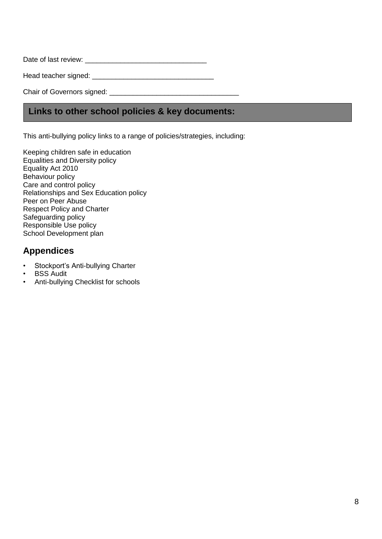Date of last review: \_\_\_\_\_\_\_\_\_\_\_\_\_\_\_\_\_\_\_\_\_\_\_\_\_\_\_\_\_\_\_

Head teacher signed: \_\_\_\_\_\_\_\_\_\_\_\_\_\_\_\_\_\_\_\_\_\_\_\_\_\_\_\_\_\_\_

Chair of Governors signed: \_\_\_\_\_\_\_\_\_\_\_\_\_\_\_\_\_\_\_\_\_\_\_\_\_\_\_\_\_\_\_\_\_

#### **Links to other school policies & key documents:**

This anti-bullying policy links to a range of policies/strategies, including:

Keeping children safe in education Equalities and Diversity policy Equality Act 2010 Behaviour policy Care and control policy Relationships and Sex Education policy Peer on Peer Abuse Respect Policy and Charter Safeguarding policy Responsible Use policy School Development plan

#### **Appendices**

- Stockport's Anti-bullying Charter
- **BSS Audit**
- Anti-bullying Checklist for schools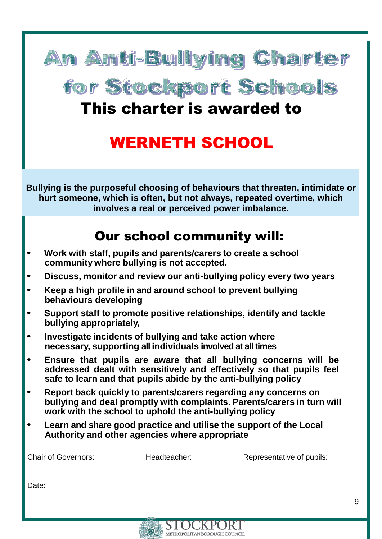

for Stockport Schools

## This charter is awarded to

## WERNETH SCHOOL

**Bullying is the purposeful choosing of behaviours that threaten, intimidate or hurt someone, which is often, but not always, repeated overtime, which involves a real or perceived power imbalance.**

## Our school community will:

- **Work with staff, pupils and parents/carers to create <sup>a</sup> school community where bullying is not accepted.**
- **Discuss, monitor and review our anti-bullying policy every two years**
- **Keep <sup>a</sup> high profile in and around school to prevent bullying behaviours developing**
- **Support staff to promote positive relationships, identify and tackle bullying appropriately,**
- **Investigate incidents of bullying and take action where necessary, supporting all individuals involved at all times**
- **Ensure that pupils are aware that all bullying concerns will be addressed dealt with sensitively and effectively so that pupils feel safe to learn and that pupils abide by the anti-bullying policy**
- **Report back quickly to parents/carers regarding any concerns on bullying and deal promptly with complaints. Parents/carers in turn will work with the school to uphold the anti-bullying policy**
- **Learn and share good practice and utilise the support of the Local Authority and other agencies where appropriate**

Chair of Governors: Theadteacher: Representative of pupils:

Date:

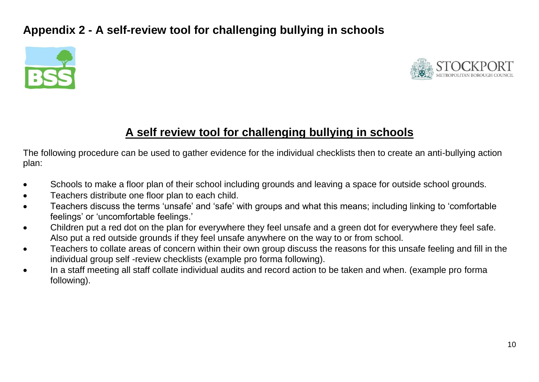### **Appendix 2 - A self-review tool for challenging bullying in schools**





### **A self review tool for challenging bullying in schools**

The following procedure can be used to gather evidence for the individual checklists then to create an anti-bullying action plan:

- Schools to make a floor plan of their school including grounds and leaving a space for outside school grounds.
- Teachers distribute one floor plan to each child.
- Teachers discuss the terms 'unsafe' and 'safe' with groups and what this means; including linking to 'comfortable feelings' or 'uncomfortable feelings.'
- Children put a red dot on the plan for everywhere they feel unsafe and a green dot for everywhere they feel safe. Also put a red outside grounds if they feel unsafe anywhere on the way to or from school.
- Teachers to collate areas of concern within their own group discuss the reasons for this unsafe feeling and fill in the individual group self -review checklists (example pro forma following).
- In a staff meeting all staff collate individual audits and record action to be taken and when. (example pro forma following).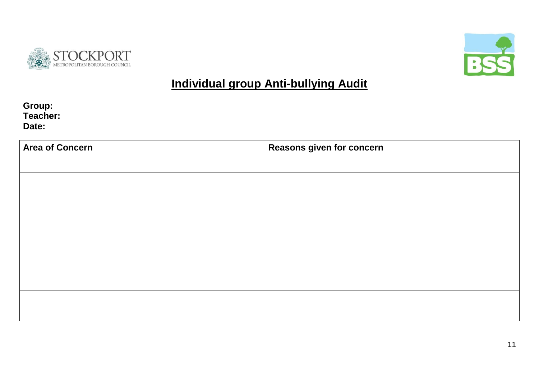



## **Individual group Anti-bullying Audit**

**Group: Teacher: Date:**

| <b>Area of Concern</b> | <b>Reasons given for concern</b> |  |  |
|------------------------|----------------------------------|--|--|
|                        |                                  |  |  |
|                        |                                  |  |  |
|                        |                                  |  |  |
|                        |                                  |  |  |
|                        |                                  |  |  |
|                        |                                  |  |  |
|                        |                                  |  |  |
|                        |                                  |  |  |
|                        |                                  |  |  |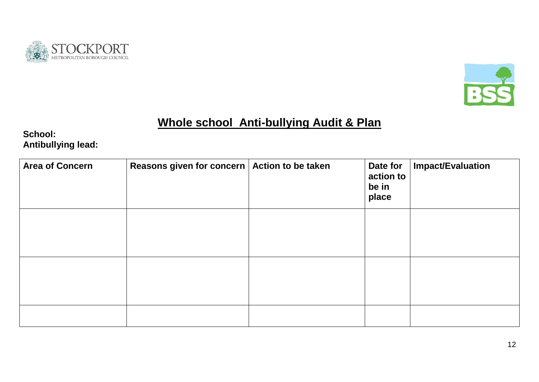



## **Whole school Anti-bullying Audit & Plan**

**School: Antibullying lead:**

| <b>Area of Concern</b> | Reasons given for concern | Action to be taken | Date for<br>action to<br>be in<br>place | <b>Impact/Evaluation</b> |
|------------------------|---------------------------|--------------------|-----------------------------------------|--------------------------|
|                        |                           |                    |                                         |                          |
|                        |                           |                    |                                         |                          |
|                        |                           |                    |                                         |                          |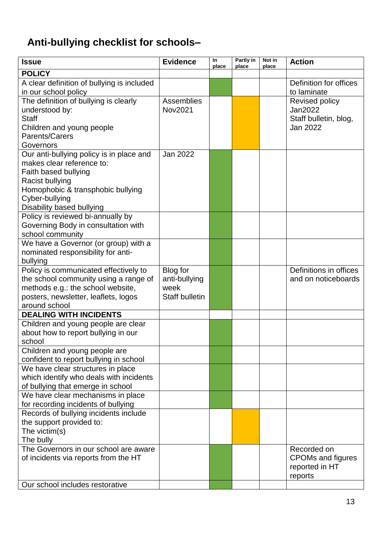## **Anti-bullying checklist for schools–**

| <b>Issue</b>                               | <b>Evidence</b>       | In<br>place | Partly in<br>place | Not in<br>place | <b>Action</b>                              |
|--------------------------------------------|-----------------------|-------------|--------------------|-----------------|--------------------------------------------|
| <b>POLICY</b>                              |                       |             |                    |                 |                                            |
| A clear definition of bullying is included |                       |             |                    |                 | Definition for offices                     |
| in our school policy                       |                       |             |                    |                 | to laminate                                |
| The definition of bullying is clearly      | Assemblies            |             |                    |                 | Revised policy                             |
| understood by:                             | Nov2021               |             |                    |                 | Jan2022                                    |
| <b>Staff</b>                               |                       |             |                    |                 | Staff bulletin, blog,                      |
| Children and young people                  |                       |             |                    |                 | Jan 2022                                   |
| Parents/Carers                             |                       |             |                    |                 |                                            |
| Governors                                  |                       |             |                    |                 |                                            |
| Our anti-bullying policy is in place and   | Jan 2022              |             |                    |                 |                                            |
| makes clear reference to:                  |                       |             |                    |                 |                                            |
| Faith based bullying                       |                       |             |                    |                 |                                            |
| Racist bullying                            |                       |             |                    |                 |                                            |
| Homophobic & transphobic bullying          |                       |             |                    |                 |                                            |
| Cyber-bullying                             |                       |             |                    |                 |                                            |
| Disability based bullying                  |                       |             |                    |                 |                                            |
| Policy is reviewed bi-annually by          |                       |             |                    |                 |                                            |
| Governing Body in consultation with        |                       |             |                    |                 |                                            |
| school community                           |                       |             |                    |                 |                                            |
| We have a Governor (or group) with a       |                       |             |                    |                 |                                            |
| nominated responsibility for anti-         |                       |             |                    |                 |                                            |
| bullying                                   |                       |             |                    |                 |                                            |
| Policy is communicated effectively to      | Blog for              |             |                    |                 | Definitions in offices                     |
| the school community using a range of      | anti-bullying         |             |                    |                 | and on noticeboards                        |
| methods e.g.: the school website,          | week                  |             |                    |                 |                                            |
| posters, newsletter, leaflets, logos       | <b>Staff bulletin</b> |             |                    |                 |                                            |
| around school                              |                       |             |                    |                 |                                            |
| <b>DEALING WITH INCIDENTS</b>              |                       |             |                    |                 |                                            |
| Children and young people are clear        |                       |             |                    |                 |                                            |
| about how to report bullying in our        |                       |             |                    |                 |                                            |
| school                                     |                       |             |                    |                 |                                            |
| Children and young people are              |                       |             |                    |                 |                                            |
| confident to report bullying in school     |                       |             |                    |                 |                                            |
| We have clear structures in place          |                       |             |                    |                 |                                            |
| which identify who deals with incidents    |                       |             |                    |                 |                                            |
| of bullying that emerge in school          |                       |             |                    |                 |                                            |
| We have clear mechanisms in place          |                       |             |                    |                 |                                            |
| for recording incidents of bullying        |                       |             |                    |                 |                                            |
| Records of bullying incidents include      |                       |             |                    |                 |                                            |
| the support provided to:                   |                       |             |                    |                 |                                            |
| The victim(s)                              |                       |             |                    |                 |                                            |
| The bully                                  |                       |             |                    |                 |                                            |
| The Governors in our school are aware      |                       |             |                    |                 |                                            |
|                                            |                       |             |                    |                 | Recorded on                                |
| of incidents via reports from the HT       |                       |             |                    |                 | <b>CPOMs and figures</b><br>reported in HT |
|                                            |                       |             |                    |                 |                                            |
|                                            |                       |             |                    |                 | reports                                    |
| Our school includes restorative            |                       |             |                    |                 |                                            |